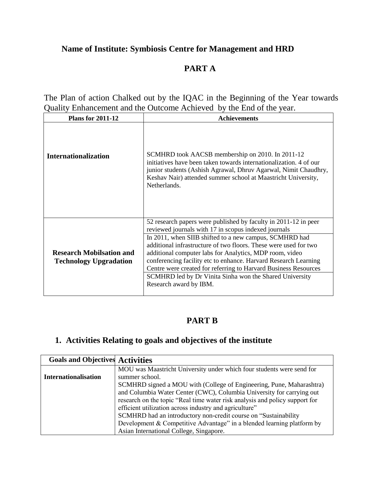# **Name of Institute: Symbiosis Centre for Management and HRD**

# **PART A**

The Plan of action Chalked out by the IQAC in the Beginning of the Year towards Quality Enhancement and the Outcome Achieved by the End of the year.

| <b>Plans for 2011-12</b>                                         | <b>Achievements</b>                                                                                                                                                                                                                                                                                                                                                                                                                                                                                               |
|------------------------------------------------------------------|-------------------------------------------------------------------------------------------------------------------------------------------------------------------------------------------------------------------------------------------------------------------------------------------------------------------------------------------------------------------------------------------------------------------------------------------------------------------------------------------------------------------|
| <b>Internationalization</b>                                      | SCMHRD took AACSB membership on 2010. In 2011-12<br>initiatives have been taken towards internationalization. 4 of our<br>junior students (Ashish Agrawal, Dhruv Agarwal, Nimit Chaudhry,<br>Keshav Nair) attended summer school at Maastricht University,<br>Netherlands.                                                                                                                                                                                                                                        |
| <b>Research Mobilsation and</b><br><b>Technology Upgradation</b> | 52 research papers were published by faculty in 2011-12 in peer<br>reviewed journals with 17 in scopus indexed journals<br>In 2011, when SIIB shifted to a new campus, SCMHRD had<br>additional infrastructure of two floors. These were used for two<br>additional computer labs for Analytics, MDP room, video<br>conferencing facility etc to enhance. Harvard Research Learning<br>Centre were created for referring to Harvard Business Resources<br>SCMHRD led by Dr Vinita Sinha won the Shared University |
|                                                                  | Research award by IBM.                                                                                                                                                                                                                                                                                                                                                                                                                                                                                            |

## **PART B**

# **1. Activities Relating to goals and objectives of the institute**

| <b>Goals and Objectives Activities</b> |                                                                             |  |
|----------------------------------------|-----------------------------------------------------------------------------|--|
|                                        | MOU was Maastricht University under which four students were send for       |  |
| <b>Internationalisation</b>            | summer school.                                                              |  |
|                                        | SCMHRD signed a MOU with (College of Engineering, Pune, Maharashtra)        |  |
|                                        | and Columbia Water Center (CWC), Columbia University for carrying out       |  |
|                                        | research on the topic "Real time water risk analysis and policy support for |  |
|                                        | efficient utilization across industry and agriculture"                      |  |
|                                        | SCMHRD had an introductory non-credit course on "Sustainability"            |  |
|                                        | Development $&$ Competitive Advantage" in a blended learning platform by    |  |
|                                        | Asian International College, Singapore.                                     |  |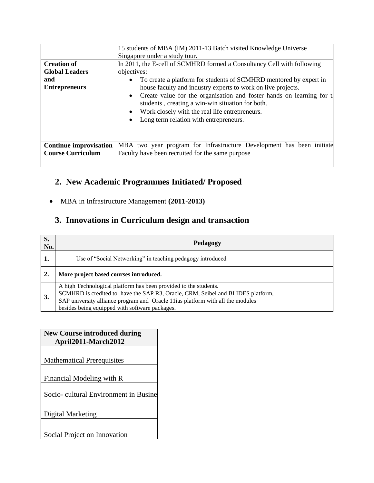|                               | 15 students of MBA (IM) 2011-13 Batch visited Knowledge Universe                                                                                                                                                                                                                                                              |  |  |  |
|-------------------------------|-------------------------------------------------------------------------------------------------------------------------------------------------------------------------------------------------------------------------------------------------------------------------------------------------------------------------------|--|--|--|
|                               | Singapore under a study tour.                                                                                                                                                                                                                                                                                                 |  |  |  |
| <b>Creation of</b>            | In 2011, the E-cell of SCMHRD formed a Consultancy Cell with following                                                                                                                                                                                                                                                        |  |  |  |
| <b>Global Leaders</b>         | objectives:                                                                                                                                                                                                                                                                                                                   |  |  |  |
| and                           | To create a platform for students of SCMHRD mentored by expert in                                                                                                                                                                                                                                                             |  |  |  |
| <b>Entrepreneurs</b>          | house faculty and industry experts to work on live projects.<br>Create value for the organisation and foster hands on learning for the<br>$\bullet$<br>students, creating a win-win situation for both.<br>Work closely with the real life entrepreneurs.<br>$\bullet$<br>Long term relation with entrepreneurs.<br>$\bullet$ |  |  |  |
| <b>Continue improvisation</b> | MBA two year program for Infrastructure Development has been initiate                                                                                                                                                                                                                                                         |  |  |  |
| <b>Course Curriculum</b>      | Faculty have been recruited for the same purpose                                                                                                                                                                                                                                                                              |  |  |  |

# **2. New Academic Programmes Initiated/ Proposed**

MBA in Infrastructure Management **(2011-2013)**

# **3. Innovations in Curriculum design and transaction**

| S.<br>No. | Pedagogy                                                                                                                                                                                                                                                                                  |
|-----------|-------------------------------------------------------------------------------------------------------------------------------------------------------------------------------------------------------------------------------------------------------------------------------------------|
|           | Use of "Social Networking" in teaching pedagogy introduced                                                                                                                                                                                                                                |
|           | More project based courses introduced.                                                                                                                                                                                                                                                    |
| 3.        | A high Technological platform has been provided to the students.<br>SCMHRD is credited to have the SAP R3, Oracle, CRM, Seibel and BI IDES platform,<br>SAP university alliance program and Oracle 11 ias platform with all the modules<br>besides being equipped with software packages. |

## **New Course introduced during April2011-March2012**

Mathematical Prerequisites

Financial Modeling with R

Socio- cultural Environment in Busine

Digital Marketing

Social Project on Innovation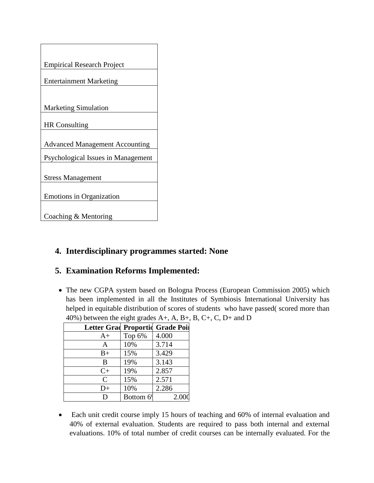

## **4. Interdisciplinary programmes started: None**

## **5. Examination Reforms Implemented:**

• The new CGPA system based on Bologna Process (European Commission 2005) which has been implemented in all the Institutes of Symbiosis International University has helped in equitable distribution of scores of students who have passed( scored more than 40%) between the eight grades A+, A, B+, B, C+, C, D+ and D

| Letter Grad Proportid Grade Poil |           |       |
|----------------------------------|-----------|-------|
| $A+$                             | Top 6%    | 4.000 |
| А                                | 10%       | 3.714 |
| $B+$                             | 15%       | 3.429 |
| B                                | 19%       | 3.143 |
| $C+$                             | 19%       | 2.857 |
| $\mathcal{C}$                    | 15%       | 2.571 |
| $D+$                             | 10%       | 2.286 |
| D                                | Bottom 69 | 2.000 |

• Each unit credit course imply 15 hours of teaching and 60% of internal evaluation and 40% of external evaluation. Students are required to pass both internal and external evaluations. 10% of total number of credit courses can be internally evaluated. For the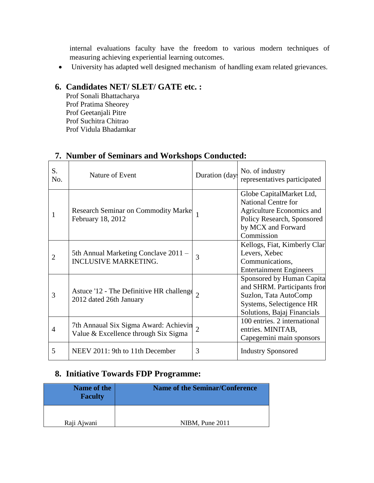internal evaluations faculty have the freedom to various modern techniques of measuring achieving experiential learning outcomes.

University has adapted well designed mechanism of handling exam related grievances.

# **6. Candidates NET/ SLET/ GATE etc. :**

Prof Sonali Bhattacharya Prof Pratima Sheorey Prof Geetanjali Pitre Prof Suchitra Chitrao Prof Vidula Bhadamkar

| S.<br>No.      | Nature of Event                                                               | Duration (day) | No. of industry<br>representatives participated                                                                                                       |
|----------------|-------------------------------------------------------------------------------|----------------|-------------------------------------------------------------------------------------------------------------------------------------------------------|
| 1              | <b>Research Seminar on Commodity Marke</b><br>February 18, 2012               |                | Globe CapitalMarket Ltd,<br><b>National Centre for</b><br>Agriculture Economics and<br>Policy Research, Sponsored<br>by MCX and Forward<br>Commission |
| $\overline{2}$ | 5th Annual Marketing Conclave 2011 -<br><b>INCLUSIVE MARKETING.</b>           | 3              | Kellogs, Fiat, Kimberly Clar<br>Levers, Xebec<br>Communications,<br><b>Entertainment Engineers</b>                                                    |
| 3              | Astuce '12 - The Definitive HR challenge<br>2012 dated 26th January           | $\overline{2}$ | Sponsored by Human Capita<br>and SHRM. Participants from<br>Suzlon, Tata AutoComp<br>Systems, Selectigence HR<br>Solutions, Bajaj Financials          |
| 4              | 7th Annaual Six Sigma Award: Achievin<br>Value & Excellence through Six Sigma | $\overline{2}$ | 100 entries. 2 international<br>entries. MINITAB,<br>Capegemini main sponsors                                                                         |
| 5              | NEEV 2011: 9th to 11th December                                               | 3              | <b>Industry Sponsored</b>                                                                                                                             |

## **7. Number of Seminars and Workshops Conducted:**

# **8. Initiative Towards FDP Programme:**

| <b>Name of the</b><br><b>Faculty</b> | <b>Name of the Seminar/Conference</b> |  |
|--------------------------------------|---------------------------------------|--|
| Raji Ajwani                          | NIBM, Pune 2011                       |  |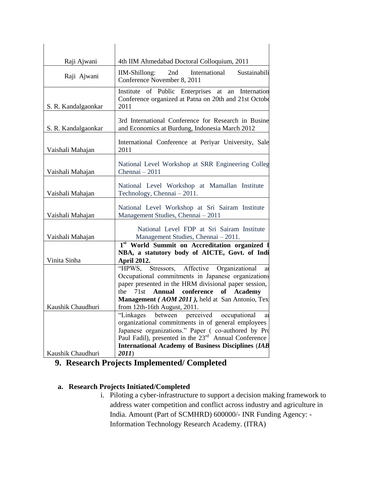| Raji Ajwani         | 4th IIM Ahmedabad Doctoral Colloquium, 2011                                                                                                                                                                                                                                                                  |  |  |  |
|---------------------|--------------------------------------------------------------------------------------------------------------------------------------------------------------------------------------------------------------------------------------------------------------------------------------------------------------|--|--|--|
| Raji Ajwani         | IIM-Shillong:<br>Sustainabili<br>2nd<br>International<br>Conference November 8, 2011                                                                                                                                                                                                                         |  |  |  |
| S. R. Kandalgaonkar | Institute of Public Enterprises at<br>an Internation<br>Conference organized at Patna on 20th and 21st Octobe<br>2011                                                                                                                                                                                        |  |  |  |
| S. R. Kandalgaonkar | 3rd International Conference for Research in Busine<br>and Economics at Burdung, Indonesia March 2012                                                                                                                                                                                                        |  |  |  |
| Vaishali Mahajan    | International Conference at Periyar University, Sale<br>2011                                                                                                                                                                                                                                                 |  |  |  |
| Vaishali Mahajan    | National Level Workshop at SRR Engineering Colleg<br>Chennai - 2011                                                                                                                                                                                                                                          |  |  |  |
| Vaishali Mahajan    | National Level Workshop at Mamallan Institute<br>Technology, Chennai - 2011.                                                                                                                                                                                                                                 |  |  |  |
| Vaishali Mahajan    | National Level Workshop at Sri Sairam Institute<br>Management Studies, Chennai - 2011                                                                                                                                                                                                                        |  |  |  |
| Vaishali Mahajan    | National Level FDP at Sri Sairam Institute<br>Management Studies, Chennai - 2011.                                                                                                                                                                                                                            |  |  |  |
| Vinita Sinha        | 1st World Summit on Accreditation organized<br>NBA, a statutory body of AICTE, Govt. of Indi<br><b>April 2012.</b>                                                                                                                                                                                           |  |  |  |
| Kaushik Chaudhuri   | "HPWS.<br>Stressors, Affective Organizational<br>a <sub>1</sub><br>Occupational commitments in Japanese organizations<br>paper presented in the HRM divisional paper session,<br>the<br>71st Annual conference of Academy<br>Management (AOM 2011), held at San Antonio, Tex<br>from 12th-16th August, 2011. |  |  |  |
|                     | "Linkages"<br>between perceived<br>occupational<br>a <sub>1</sub><br>organizational commitments in of general employees<br>Japanese organizations." Paper (co-authored by Pro<br>Paul Fadil), presented in the $23^{rd}$ Annual Conference<br><b>International Academy of Business Disciplines (IAB</b>      |  |  |  |
| Kaushik Chaudhuri   | 2011)                                                                                                                                                                                                                                                                                                        |  |  |  |

**9. Research Projects Implemented/ Completed**

## **a. Research Projects Initiated/Completed**

i. Piloting a cyber-infrastructure to support a decision making framework to address water competition and conflict across industry and agriculture in India. Amount (Part of SCMHRD) 600000/- INR Funding Agency: - Information Technology Research Academy. (ITRA)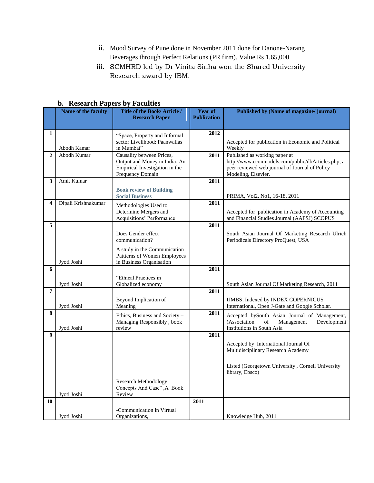- ii. Mood Survey of Pune done in November 2011 done for Danone-Narang Beverages through Perfect Relations (PR firm). Value Rs 1,65,000
- iii. SCMHRD led by Dr Vinita Sinha won the Shared University Research award by IBM.

|                         | Name of the faculty | $\sim$ $\sim$ .<br>$-$ weeks to<br>Title of the Book/Article/ | Year of            | Published by (Name of magazine/journal)                                                          |
|-------------------------|---------------------|---------------------------------------------------------------|--------------------|--------------------------------------------------------------------------------------------------|
|                         |                     | <b>Research Paper</b>                                         | <b>Publication</b> |                                                                                                  |
|                         |                     |                                                               |                    |                                                                                                  |
| 1                       |                     | "Space, Property and Informal                                 | 2012               |                                                                                                  |
|                         |                     | sector Livelihood: Paanwallas                                 |                    | Accepted for publication in Economic and Political                                               |
|                         | Abodh Kamar         | in Mumbai"                                                    |                    | Weekly                                                                                           |
| $\overline{2}$          | Abodh Kumar         | Causality between Prices,                                     | 2011               | Published as working paper at                                                                    |
|                         |                     | Output and Money in India: An                                 |                    | http://www.econmodels.com/public/dbArticles.php, a                                               |
|                         |                     | Empirical Investigation in the<br>Frequency Domain            |                    | peer reviewed web journal of Journal of Policy<br>Modeling, Elsevier.                            |
| 3                       | Amit Kumar          |                                                               | 2011               |                                                                                                  |
|                         |                     |                                                               |                    |                                                                                                  |
|                         |                     | <b>Book review of Building</b><br><b>Social Business</b>      |                    | PRIMA, Vol2, No1, 16-18, 2011                                                                    |
| $\overline{\mathbf{4}}$ | Dipali Krishnakumar |                                                               | 2011               |                                                                                                  |
|                         |                     | Methodologies Used to<br>Determine Mergers and                |                    | Accepted for publication in Academy of Accounting                                                |
|                         |                     | Acquisitions' Performance                                     |                    | and Financial Studies Journal (AAFSJ) SCOPUS                                                     |
| 5                       |                     |                                                               | 2011               |                                                                                                  |
|                         |                     | Does Gender effect                                            |                    | South Asian Journal Of Marketing Research Ulrich                                                 |
|                         |                     | communication?                                                |                    | Periodicals Directory ProQuest, USA                                                              |
|                         |                     | A study in the Communication                                  |                    |                                                                                                  |
|                         |                     | Pattterns of Women Employees                                  |                    |                                                                                                  |
|                         | Jyoti Joshi         | in Business Organisation                                      |                    |                                                                                                  |
| 6                       |                     |                                                               | 2011               |                                                                                                  |
|                         |                     | "Ethical Practices in                                         |                    |                                                                                                  |
| 7                       | Jyoti Joshi         | Globalized economy                                            | 2011               | South Asian Journal Of Marketing Research, 2011                                                  |
|                         |                     |                                                               |                    |                                                                                                  |
|                         | Jyoti Joshi         | Beyond Implication of<br>Meaning                              |                    | <b>IJMBS, Indexed by INDEX COPERNICUS</b><br>International, Open J-Gate and Google Scholar.      |
| 8                       |                     |                                                               | 2011               |                                                                                                  |
|                         |                     | Ethics, Business and Society -<br>Managing Responsibly, book  |                    | Accepted bySouth Asian Journal of Management,<br>(Association<br>of<br>Management<br>Development |
|                         | Jyoti Joshi         | review                                                        |                    | Institutions in South Asia                                                                       |
| $\boldsymbol{9}$        |                     |                                                               | 2011               |                                                                                                  |
|                         |                     |                                                               |                    | Accepted by International Journal Of                                                             |
|                         |                     |                                                               |                    | Multidisciplinary Research Academy                                                               |
|                         |                     |                                                               |                    |                                                                                                  |
|                         |                     |                                                               |                    | Listed (Georgetown University, Cornell University                                                |
|                         |                     |                                                               |                    | library, Ebsco)                                                                                  |
|                         |                     | <b>Research Methodology</b>                                   |                    |                                                                                                  |
|                         |                     | Concepts And Case", A Book                                    |                    |                                                                                                  |
| 10                      | Jyoti Joshi         | Review                                                        | 2011               |                                                                                                  |
|                         |                     |                                                               |                    |                                                                                                  |
|                         | Jvoti Joshi         | -Communication in Virtual<br>Organizations,                   |                    | Knowledge Hub, 2011                                                                              |
|                         |                     |                                                               |                    |                                                                                                  |

#### **b. Research Papers by Faculties**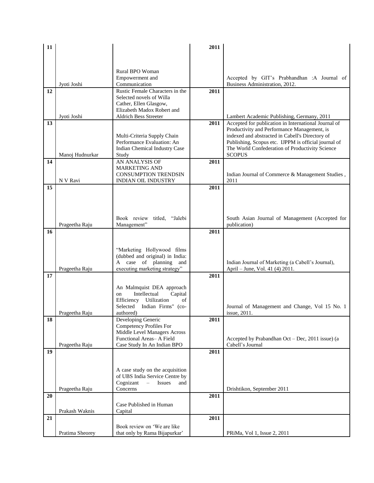| 11 |                 |                                                                   | 2011 |                                                      |
|----|-----------------|-------------------------------------------------------------------|------|------------------------------------------------------|
|    |                 |                                                                   |      |                                                      |
|    |                 |                                                                   |      |                                                      |
|    |                 | Rural BPO Woman                                                   |      |                                                      |
|    |                 | Empowerment and                                                   |      | Accepted by GIT's Prabhandhan :A Journal of          |
|    | Jyoti Joshi     | Communication                                                     |      | Business Administration, 2012.                       |
| 12 |                 | Rustic Female Characters in the                                   | 2011 |                                                      |
|    |                 | Selected novels of Willa                                          |      |                                                      |
|    |                 | Cather, Ellen Glasgow,<br>Elizabeth Madox Robert and              |      |                                                      |
|    | Jyoti Joshi     | <b>Aldrich Bess Streeter</b>                                      |      | Lambert Academic Publishing, Germany, 2011           |
| 13 |                 |                                                                   | 2011 | Accepted for publication in International Journal of |
|    |                 |                                                                   |      | Productivity and Performance Management, is          |
|    |                 | Multi-Criteria Supply Chain                                       |      | indexed and abstracted in Cabell's Directory of      |
|    |                 | Performance Evaluation: An                                        |      | Publishing, Scopus etc. IJPPM is official journal of |
|    |                 | Indian Chemical Industry Case                                     |      | The World Confederation of Productivity Science      |
|    | Manoj Hudnurkar | Study                                                             |      | <b>SCOPUS</b>                                        |
| 14 |                 | AN ANALYSIS OF<br><b>MARKETING AND</b>                            | 2011 |                                                      |
|    |                 | <b>CONSUMPTION TRENDSIN</b>                                       |      | Indian Journal of Commerce & Management Studies,     |
|    | N V Ravi        | <b>INDIAN OIL INDUSTRY</b>                                        |      | 2011                                                 |
| 15 |                 |                                                                   | 2011 |                                                      |
|    |                 |                                                                   |      |                                                      |
|    |                 |                                                                   |      |                                                      |
|    |                 |                                                                   |      |                                                      |
|    |                 | Book review titled,<br>"Jalebi                                    |      | South Asian Journal of Management (Accepted for      |
|    | Prageetha Raju  | Management"                                                       |      | publication)                                         |
| 16 |                 |                                                                   | 2011 |                                                      |
|    |                 |                                                                   |      |                                                      |
|    |                 | "Marketing Hollywood films                                        |      |                                                      |
|    |                 | (dubbed and original) in India:                                   |      |                                                      |
|    |                 | A case of planning<br>and                                         |      | Indian Journal of Marketing (a Cabell's Journal),    |
|    | Prageetha Raju  | executing marketing strategy"                                     |      | April - June, Vol. 41 (4) 2011.                      |
| 17 |                 |                                                                   | 2011 |                                                      |
|    |                 |                                                                   |      |                                                      |
|    |                 | An Malmquist DEA approach<br>Intellectual<br>Capital<br>on        |      |                                                      |
|    |                 | Efficiency<br>Utilization<br>of                                   |      |                                                      |
|    |                 | Selected<br>Indian Firms" (co-                                    |      | Journal of Management and Change, Vol 15 No. 1       |
|    | Prageetha Raju  | authored)                                                         |      | issue, 2011.                                         |
| 18 |                 | Developing Generic                                                | 2011 |                                                      |
|    |                 | <b>Competency Profiles For</b><br>Middle Level Managers Across    |      |                                                      |
|    |                 | Functional Areas-A Field                                          |      | Accepted by Prabandhan Oct – Dec, 2011 issue) (a     |
|    | Prageetha Raju  | Case Study In An Indian BPO                                       |      | Cabell's Journal                                     |
| 19 |                 |                                                                   | 2011 |                                                      |
|    |                 |                                                                   |      |                                                      |
|    |                 |                                                                   |      |                                                      |
|    |                 | A case study on the acquisition<br>of UBS India Service Centre by |      |                                                      |
|    |                 | Cognizant<br>$\equiv$<br>Issues<br>and                            |      |                                                      |
|    | Prageetha Raju  | Concerns                                                          |      | Drishtikon, September 2011                           |
| 20 |                 |                                                                   | 2011 |                                                      |
|    |                 | Case Published in Human                                           |      |                                                      |
|    | Prakash Waknis  | Capital                                                           |      |                                                      |
| 21 |                 |                                                                   | 2011 |                                                      |
|    |                 | Book review on 'We are like                                       |      |                                                      |
|    | Pratima Sheorey | that only by Rama Bijapurkar'                                     |      | PRiMa, Vol 1, Issue 2, 2011                          |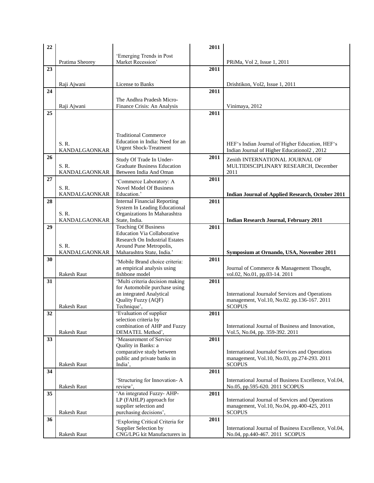| 22 |                        |                                                                  | 2011 |                                                                                                       |
|----|------------------------|------------------------------------------------------------------|------|-------------------------------------------------------------------------------------------------------|
|    |                        | 'Emerging Trends in Post                                         |      |                                                                                                       |
|    | Pratima Sheorey        | Market Recession'                                                |      | PRiMa, Vol 2, Issue 1, 2011                                                                           |
| 23 |                        |                                                                  | 2011 |                                                                                                       |
|    |                        |                                                                  |      |                                                                                                       |
| 24 | Raji Ajwani            | License to Banks                                                 | 2011 | Drishtikon, Vol2, Issue 1, 2011                                                                       |
|    |                        |                                                                  |      |                                                                                                       |
|    | Raji Ajwani            | The Andhra Pradesh Micro-<br>Finance Crisis: An Analysis         |      | Vinimaya, 2012                                                                                        |
| 25 |                        |                                                                  | 2011 |                                                                                                       |
|    |                        |                                                                  |      |                                                                                                       |
|    |                        |                                                                  |      |                                                                                                       |
|    |                        | <b>Traditional Commerce</b>                                      |      |                                                                                                       |
|    | S. R.                  | Education in India: Need for an<br><b>Urgent Shock-Treatment</b> |      | HEF's Indian Journal of Higher Education, HEF's                                                       |
|    | <b>KANDALGAONKAR</b>   |                                                                  |      | Indian Journal of Higher Educationol2, 2012                                                           |
| 26 |                        | Study Of Trade In Under-                                         | 2011 | Zenith INTERNATIONAL JOURNAL OF                                                                       |
|    | S. R.                  | <b>Graduate Business Education</b>                               |      | MULTIDISCIPLINARY RESEARCH, December                                                                  |
| 27 | <b>KANDALGAONKAR</b>   | Between India And Oman                                           | 2011 | 2011                                                                                                  |
|    | S. R.                  | 'Commerce Laboratory: A<br><b>Novel Model Of Business</b>        |      |                                                                                                       |
|    | <b>KANDALGAONKAR</b>   | Education.'                                                      |      | <b>Indian Journal of Applied Research, October 2011</b>                                               |
| 28 |                        | <b>Internal Financial Reporting</b>                              | 2011 |                                                                                                       |
|    |                        | System In Leading Educational                                    |      |                                                                                                       |
|    | S.R.                   | Organizations In Maharashtra<br>State, India.                    |      |                                                                                                       |
| 29 | KANDALGAONKAR          | <b>Teaching Of Business</b>                                      | 2011 | <b>Indian Research Journal, February 2011</b>                                                         |
|    |                        | <b>Education Via Collaborative</b>                               |      |                                                                                                       |
|    |                        | Research On Industrial Estates                                   |      |                                                                                                       |
|    | S. R.<br>KANDALGAONKAR | Around Pune Metropolis,<br>Maharashtra State, India.'            |      |                                                                                                       |
| 30 |                        |                                                                  | 2011 | Symposium at Ornando, USA, November 2011                                                              |
|    |                        | 'Mobile Brand choice criteria:<br>an empirical analysis using    |      | Journal of Commerce & Management Thought,                                                             |
|    | Rakesh Raut            | fishbone model                                                   |      | vol.02, No.01, pp.03-14. 2011                                                                         |
| 31 |                        | 'Multi criteria decision making                                  | 2011 |                                                                                                       |
|    |                        | for Automobile purchase using                                    |      |                                                                                                       |
|    |                        | an integrated Analytical<br>Quality Fuzzy (AQF)                  |      | <b>International Journalof Services and Operations</b><br>management, Vol.10, No.02. pp.136-167. 2011 |
|    | <b>Rakesh Raut</b>     | Technique',                                                      |      | <b>SCOPUS</b>                                                                                         |
| 32 |                        | 'Evaluation of supplier                                          | 2011 |                                                                                                       |
|    |                        | selection criteria by                                            |      |                                                                                                       |
|    | Rakesh Raut            | combination of AHP and Fuzzy<br>DEMATEL Method',                 |      | International Journal of Business and Innovation,<br>Vol.5, No.04, pp. 359-392. 2011                  |
| 33 |                        | 'Measurement of Service                                          | 2011 |                                                                                                       |
|    |                        | Quality in Banks: a                                              |      |                                                                                                       |
|    |                        | comparative study between                                        |      | International Journal of Services and Operations                                                      |
|    | Rakesh Raut            | public and private banks in<br>India',                           |      | management, Vol.10, No.03, pp.274-293. 2011<br><b>SCOPUS</b>                                          |
| 34 |                        |                                                                  | 2011 |                                                                                                       |
|    |                        | 'Structuring for Innovation-A                                    |      | International Journal of Business Excellence, Vol.04,                                                 |
|    | Rakesh Raut            | review',                                                         |      | No.05, pp.595-620. 2011 SCOPUS                                                                        |
| 35 |                        | 'An integrated Fuzzy- AHP-                                       | 2011 |                                                                                                       |
|    |                        | LP (FAHLP) approach for<br>supplier selection and                |      | International Journal of Services and Operations<br>management, Vol.10, No.04, pp.400-425, 2011       |
|    | Rakesh Raut            | purchasing decisions',                                           |      | <b>SCOPUS</b>                                                                                         |
| 36 |                        | 'Exploring Critical Criteria for                                 | 2011 |                                                                                                       |
|    |                        | Supplier Selection by                                            |      | International Journal of Business Excellence, Vol.04,                                                 |
|    | Rakesh Raut            | CNG/LPG kit Manufacturers in                                     |      | No.04, pp.440-467. 2011 SCOPUS                                                                        |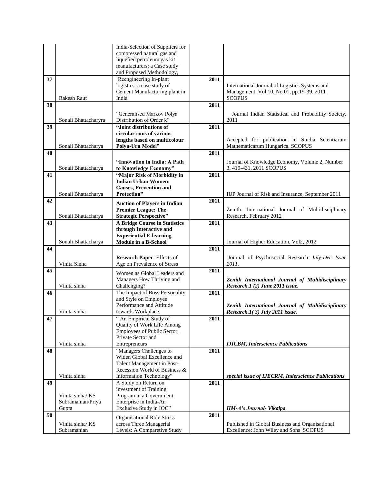|    |                                               | India-Selection of Suppliers for<br>compressed natural gas and<br>liquefied petroleum gas kit<br>manufacturers: a Case study |      |                                                                                                              |
|----|-----------------------------------------------|------------------------------------------------------------------------------------------------------------------------------|------|--------------------------------------------------------------------------------------------------------------|
|    |                                               | and Proposed Methodology,                                                                                                    |      |                                                                                                              |
| 37 | <b>Rakesh Raut</b>                            | 'Reengineering In-plant<br>logistics: a case study of<br>Cement Manufacturing plant in<br>India                              | 2011 | International Journal of Logistics Systems and<br>Management, Vol.10, No.01, pp.19-39. 2011<br><b>SCOPUS</b> |
| 38 |                                               |                                                                                                                              | 2011 |                                                                                                              |
|    | Sonali Bhattacharyra                          | "Generalised Markov Polya<br>Distribution of Order k"                                                                        |      | Journal Indian Statistical and Probability Society,<br>2011                                                  |
| 39 | Sonali Bhattacharya                           | "Joint distributions of<br>circular runs of various<br>lengths based on multicolour<br>Polya-Urn Model"                      | 2011 | Accepted for publication in Studia Scientiarum<br>Mathematicarum Hungarica. SCOPUS                           |
| 40 |                                               | "Innovation in India: A Path                                                                                                 | 2011 | Journal of Knowledge Economy, Volume 2, Number                                                               |
| 41 | Sonali Bhattacharya                           | to Knowledge Economy"<br>"Major Risk of Morbidity in<br><b>Indian Urban Women:</b><br><b>Causes, Prevention and</b>          | 2011 | 3, 419-431, 2011 SCOPUS                                                                                      |
|    | Sonali Bhattacharya                           | Protection"                                                                                                                  |      | IUP Journal of Risk and Insurance, September 2011                                                            |
| 42 |                                               | <b>Auction of Players in Indian</b><br><b>Premier League: The</b>                                                            | 2011 | Zenith: International Journal of Multidisciplinary                                                           |
| 43 | Sonali Bhattacharya                           | <b>Strategic Perspective"</b><br><b>A Bridge Course in Statistics</b>                                                        | 2011 | Research, February 2012                                                                                      |
|    | Sonali Bhattacharya                           | through Interactive and<br><b>Experiential E-learning</b><br>Module in a B-School                                            |      |                                                                                                              |
| 44 |                                               |                                                                                                                              | 2011 | Journal of Higher Education, Vol2, 2012                                                                      |
|    | Vinita Sinha                                  | <b>Research Paper: Effects of</b><br>Age on Prevalence of Stress                                                             |      | Journal of Psychosocial Research July-Dec Issue<br>2011.                                                     |
| 45 | Vinita sinha                                  | Women as Global Leaders and<br>Managers How Thriving and<br>Challenging?                                                     | 2011 | Zenith International Journal of Multidisciplinary<br>Research.1 (2) June 2011 issue.                         |
| 46 | Vinita sinha                                  | The Impact of Boss Personality<br>and Style on Employee<br>Performance and Attitude<br>towards Workplace.                    | 2011 | Zenith International Journal of Multidisciplinary<br>Research.1 $(3)$ July 2011 issue.                       |
| 47 |                                               | " An Empirical Study of<br>Quality of Work Life Among<br>Employees of Public Sector,<br>Private Sector and                   | 2011 |                                                                                                              |
| 48 | Vinita sinha                                  | Entrepreneurs<br>"Managers Challenges to                                                                                     | 2011 | <b>IJICBM, Inderscience Publications</b>                                                                     |
|    | Vinita sinha                                  | Widen Global Excellence and<br>Talent Management in Post-<br>Recession World of Business &<br>Information Technology"        |      | special issue of IJECRM, Inderscience Publications                                                           |
| 49 |                                               | A Study on Return on<br>investment of Training                                                                               | 2011 |                                                                                                              |
|    | Vinita sinha/KS<br>Subramanian/Priya<br>Gupta | Program in a Government<br>Enterprise in India-An<br>Exclusive Study in IOC"                                                 |      | IIM-A's Journal- Vikalpa.                                                                                    |
| 50 |                                               |                                                                                                                              | 2011 |                                                                                                              |
|    | Vinita sinha/KS<br>Subramanian                | <b>Organisational Role Stress</b><br>across Three Managerial<br>Levels: A Comparetive Study                                  |      | Published in Global Business and Organisational<br>Excellence: John Wiley and Sons SCOPUS                    |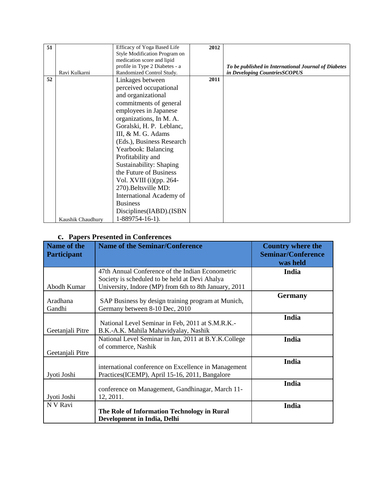| 51 |                   | Efficacy of Yoga Based Life    | 2012 |                                                      |
|----|-------------------|--------------------------------|------|------------------------------------------------------|
|    |                   | Style Modification Program on  |      |                                                      |
|    |                   | medication score and lipid     |      |                                                      |
|    |                   | profile in Type 2 Diabetes - a |      | To be published in International Journal of Diabetes |
|    | Ravi Kulkarni     | Randomized Control Study.      |      | in Developing CountriesSCOPUS                        |
| 52 |                   |                                | 2011 |                                                      |
|    |                   | Linkages between               |      |                                                      |
|    |                   | perceived occupational         |      |                                                      |
|    |                   | and organizational             |      |                                                      |
|    |                   | commitments of general         |      |                                                      |
|    |                   | employees in Japanese          |      |                                                      |
|    |                   | organizations, In M. A.        |      |                                                      |
|    |                   | Goralski, H. P. Leblanc,       |      |                                                      |
|    |                   | III, & M. G. Adams             |      |                                                      |
|    |                   | (Eds.), Business Research      |      |                                                      |
|    |                   | Yearbook: Balancing            |      |                                                      |
|    |                   | Profitability and              |      |                                                      |
|    |                   | Sustainability: Shaping        |      |                                                      |
|    |                   | the Future of Business         |      |                                                      |
|    |                   | Vol. XVIII $(i)$ (pp. 264-     |      |                                                      |
|    |                   | 270). Beltsville MD:           |      |                                                      |
|    |                   | International Academy of       |      |                                                      |
|    |                   | <b>Business</b>                |      |                                                      |
|    |                   | Disciplines(IABD).(ISBN        |      |                                                      |
|    | Kaushik Chaudhury | $1-889754-16-1$ .              |      |                                                      |

### **c. Papers Presented in Conferences**

| Name of the<br><b>Participant</b> | <b>Name of the Seminar/Conference</b>                                                                                                                       | <b>Country where the</b><br><b>Seminar/Conference</b><br>was held |
|-----------------------------------|-------------------------------------------------------------------------------------------------------------------------------------------------------------|-------------------------------------------------------------------|
| Abodh Kumar                       | 47th Annual Conference of the Indian Econometric<br>Society is scheduled to be held at Devi Ahalya<br>University, Indore (MP) from 6th to 8th January, 2011 | India                                                             |
| Aradhana<br>Gandhi                | SAP Business by design training program at Munich,<br>Germany between 8-10 Dec, 2010                                                                        | <b>Germany</b>                                                    |
| Geetanjali Pitre                  | National Level Seminar in Feb, 2011 at S.M.R.K.-<br>B.K.-A.K. Mahila Mahavidyalay, Nashik                                                                   | India                                                             |
| Geetanjali Pitre                  | National Level Seminar in Jan, 2011 at B.Y.K.College<br>of commerce, Nashik                                                                                 | India                                                             |
| Jyoti Joshi                       | international conference on Excellence in Management<br>Practices(ICEMP), April 15-16, 2011, Bangalore                                                      | India                                                             |
| Jyoti Joshi                       | conference on Management, Gandhinagar, March 11-<br>12, 2011.                                                                                               | India                                                             |
| N V Ravi                          | The Role of Information Technology in Rural<br><b>Development in India, Delhi</b>                                                                           | India                                                             |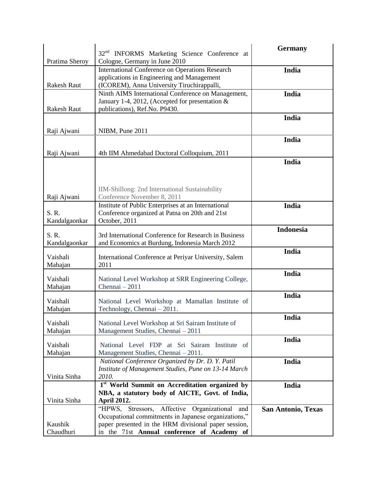|                    | 32 <sup>nd</sup> INFORMS Marketing Science Conference at   | <b>Germany</b>            |
|--------------------|------------------------------------------------------------|---------------------------|
| Pratima Sheroy     | Cologne, Germany in June 2010                              |                           |
|                    | <b>International Conference on Operations Research</b>     | India                     |
|                    | applications in Engineering and Management                 |                           |
| <b>Rakesh Raut</b> | (ICOREM), Anna University Tiruchirappalli,                 |                           |
|                    | Ninth AIMS International Conference on Management,         | India                     |
|                    | January 1-4, 2012, (Accepted for presentation &            |                           |
| <b>Rakesh Raut</b> | publications), Ref.No. P9430.                              |                           |
|                    |                                                            | India                     |
| Raji Ajwani        | NIBM, Pune 2011                                            |                           |
|                    |                                                            | India                     |
|                    |                                                            |                           |
| Raji Ajwani        | 4th IIM Ahmedabad Doctoral Colloquium, 2011                |                           |
|                    |                                                            | India                     |
|                    |                                                            |                           |
|                    |                                                            |                           |
|                    |                                                            |                           |
|                    | IIM-Shillong: 2nd International Sustainability             |                           |
| Raji Ajwani        | Conference November 8, 2011                                |                           |
|                    | Institute of Public Enterprises at an International        | <b>India</b>              |
| S. R.              | Conference organized at Patna on 20th and 21st             |                           |
| Kandalgaonkar      | October, 2011                                              |                           |
| S.R.               | 3rd International Conference for Research in Business      | <b>Indonesia</b>          |
| Kandalgaonkar      | and Economics at Burdung, Indonesia March 2012             |                           |
|                    |                                                            | <b>India</b>              |
| Vaishali           | International Conference at Periyar University, Salem      |                           |
| Mahajan            | 2011                                                       |                           |
|                    |                                                            | <b>India</b>              |
| Vaishali           | National Level Workshop at SRR Engineering College,        |                           |
| Mahajan            | Chennai - 2011                                             |                           |
|                    |                                                            | <b>India</b>              |
| Vaishali           | National Level Workshop at Mamallan Institute of           |                           |
| Mahajan            | Technology, Chennai - 2011.                                |                           |
| Vaishali           | National Level Workshop at Sri Sairam Institute of         | India                     |
| Mahajan            | Management Studies, Chennai - 2011                         |                           |
|                    |                                                            | India                     |
| Vaishali           | National Level FDP at Sri Sairam Institute of              |                           |
| Mahajan            | Management Studies, Chennai - 2011.                        |                           |
|                    | National Conference Organized by Dr. D. Y. Patil           | India                     |
|                    | Institute of Management Studies, Pune on 13-14 March       |                           |
| Vinita Sinha       | 2010.                                                      |                           |
|                    | 1 <sup>st</sup> World Summit on Accreditation organized by | India                     |
|                    | NBA, a statutory body of AICTE, Govt. of India,            |                           |
| Vinita Sinha       | <b>April 2012.</b>                                         |                           |
|                    | "HPWS, Stressors, Affective Organizational<br>and          | <b>San Antonio, Texas</b> |
|                    | Occupational commitments in Japanese organizations,"       |                           |
| Kaushik            | paper presented in the HRM divisional paper session,       |                           |
| Chaudhuri          | in the 71st Annual conference of Academy of                |                           |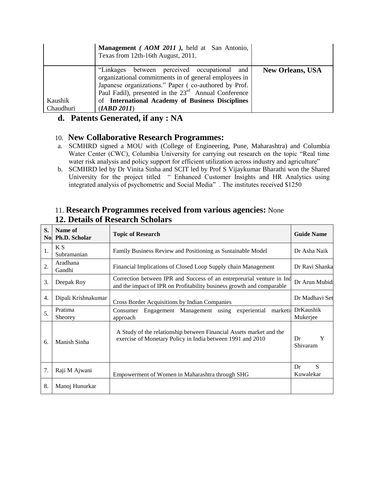|           | Management (AOM 2011), held at San Antonio,<br>Texas from 12th-16th August, 2011.                                                                                                                                                    |                         |
|-----------|--------------------------------------------------------------------------------------------------------------------------------------------------------------------------------------------------------------------------------------|-------------------------|
|           | "Linkages between perceived occupational<br>and<br>organizational commitments in of general employees in<br>Japanese organizations." Paper (co-authored by Prof.<br>Paul Fadil), presented in the 23 <sup>rd</sup> Annual Conference | <b>New Orleans, USA</b> |
| Kaushik   | of International Academy of Business Disciplines                                                                                                                                                                                     |                         |
| Chaudhuri | (IABD 2011)                                                                                                                                                                                                                          |                         |

## **d. Patents Generated, if any : NA**

#### 10. **New Collaborative Research Programmes:**

- a. SCMHRD signed a MOU with (College of Engineering, Pune, Maharashtra) and Columbia Water Center (CWC), Columbia University for carrying out research on the topic "Real time water risk analysis and policy support for efficient utilization across industry and agriculture"
- b. SCMHRD led by Dr Vinita Sinha and SCIT led by Prof S Vijaykumar Bharathi won the Shared University for the project titled " Enhanced Customer Insights and HR Analytics using integrated analysis of psychometric and Social Media" . The institutes received \$1250

#### 11. **Research Programmes received from various agencies:** None **12. Details of Research Scholars**

| S.<br>No.        | Name of<br><b>Ph.D. Scholar</b> | <b>Topic of Research</b><br><b>Guide Name</b>                                                                                                                   |                              |
|------------------|---------------------------------|-----------------------------------------------------------------------------------------------------------------------------------------------------------------|------------------------------|
| 1.               | K S<br>Subramanian              | Family Business Review and Positioning as Sustainable Model                                                                                                     | Dr Asha Naik                 |
| $\overline{2}$ . | Aradhana<br>Gandhi              | Financial Implications of Closed Loop Supply chain Management                                                                                                   | Dr Ravi Shanka               |
| 3.               | Deepak Roy                      | Correction between IPR and Success of an entrepreurial venture in Ind<br>Dr Arun Mubid<br>and the impact of IPR on Profitability business growth and comparable |                              |
| 4.               | Dipali Krishnakumar             | Cross Border Acquisitions by Indian Companies                                                                                                                   | Dr Madhavi Set               |
| 5.               | Pratima<br>Sheorey              | Engagement Management using experiential<br>marketii<br>Consumer<br>approach                                                                                    | <b>DrKaushik</b><br>Mukerjee |
| 6.               | Manish Sinha                    | A Study of the relationship between Financial Assets market and the<br>exercise of Monetary Policy in India between 1991 and 2010                               | Y<br>Dr<br>Shivaram          |
| 7.               | Raji M Ajwani                   | Empowerment of Women in Maharashtra through SHG                                                                                                                 | S<br>Dr<br>Kuwalekar         |
| 8.               | Manoj Hunurkar                  |                                                                                                                                                                 |                              |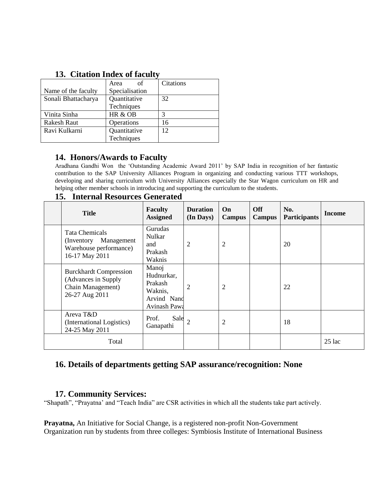| <u>Uithmidii intheir ur imemit</u> |                |           |  |
|------------------------------------|----------------|-----------|--|
|                                    | of<br>Area     | Citations |  |
| Name of the faculty                | Specialisation |           |  |
| Sonali Bhattacharya                | Quantitative   | 32        |  |
|                                    | Techniques     |           |  |
| Vinita Sinha                       | HR & OB        | 3         |  |
| <b>Rakesh Raut</b>                 | Operations     | 16        |  |
| Ravi Kulkarni                      | Quantitative   | 12.       |  |
|                                    | Techniques     |           |  |

## **13. Citation Index of faculty**

## **14. Honors/Awards to Faculty**

Aradhana Gandhi Won the "Outstanding Academic Award 2011" by SAP India in recognition of her fantastic contribution to the SAP University Alliances Program in organizing and conducting various TTT workshops, developing and sharing curriculum with University Alliances especially the Star Wagon curriculum on HR and helping other member schools in introducing and supporting the curriculum to the students.

| 15. Internal Resources Generated |
|----------------------------------|
|----------------------------------|

| <b>Title</b>                                                                                 | <b>Faculty</b><br><b>Assigned</b>                                        | <b>Duration</b><br>(In Days) | On<br><b>Campus</b> | <b>Off</b><br><b>Campus</b> | No.<br><b>Participants</b> | <b>Income</b> |
|----------------------------------------------------------------------------------------------|--------------------------------------------------------------------------|------------------------------|---------------------|-----------------------------|----------------------------|---------------|
| Tata Chemicals<br>(Inventory Management<br>Warehouse performance)<br>16-17 May 2011          | Gurudas<br>Nulkar<br>and<br>Prakash<br>Waknis                            | 2                            | $\overline{2}$      |                             | 20                         |               |
| <b>Burckhardt Compression</b><br>(Advances in Supply)<br>Chain Management)<br>26-27 Aug 2011 | Manoj<br>Hudnurkar,<br>Prakash<br>Waknis,<br>Arvind Nand<br>Avinash Pawa | 2                            | $\overline{2}$      |                             | 22                         |               |
| Areva T&D<br>(International Logistics)<br>24-25 May 2011                                     | Sale<br>Prof.<br>Ganapathi                                               |                              | $\overline{2}$      |                             | 18                         |               |
| Total                                                                                        |                                                                          |                              |                     |                             |                            | $25$ lac      |

### **16. Details of departments getting SAP assurance/recognition: None**

### **17. Community Services:**

"Shapath", "Prayatna' and "Teach India" are CSR activities in which all the students take part actively.

**Prayatna,** An Initiative for Social Change, is a registered non-profit Non-Government Organization run by students from three colleges: Symbiosis Institute of International Business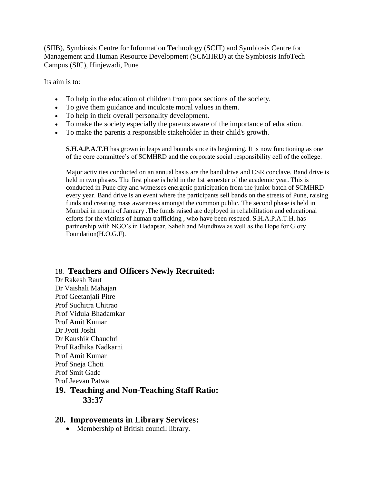(SIIB), Symbiosis Centre for Information Technology (SCIT) and Symbiosis Centre for Management and Human Resource Development (SCMHRD) at the Symbiosis InfoTech Campus (SIC), Hinjewadi, Pune

Its aim is to:

- To help in the education of children from poor sections of the society.
- To give them guidance and inculcate moral values in them.
- To help in their overall personality development.
- To make the society especially the parents aware of the importance of education.
- To make the parents a responsible stakeholder in their child's growth.

**S.H.A.P.A.T.H** has grown in leaps and bounds since its beginning. It is now functioning as one of the core committee"s of SCMHRD and the corporate social responsibility cell of the college.

Major activities conducted on an annual basis are the band drive and CSR conclave. Band drive is held in two phases. The first phase is held in the 1st semester of the academic year. This is conducted in Pune city and witnesses energetic participation from the junior batch of SCMHRD every year. Band drive is an event where the participants sell bands on the streets of Pune, raising funds and creating mass awareness amongst the common public. The second phase is held in Mumbai in month of January .The funds raised are deployed in rehabilitation and educational efforts for the victims of human trafficking , who have been rescued. S.H.A.P.A.T.H. has partnership with NGO"s in Hadapsar, Saheli and Mundhwa as well as the Hope for Glory Foundation(H.O.G.F).

### 18. **Teachers and Officers Newly Recruited:**

Dr Rakesh Raut Dr Vaishali Mahajan Prof Geetanjali Pitre Prof Suchitra Chitrao Prof Vidula Bhadamkar Prof Amit Kumar Dr Jyoti Joshi Dr Kaushik Chaudhri Prof Radhika Nadkarni Prof Amit Kumar Prof Sneja Choti Prof Smit Gade Prof Jeevan Patwa **19. Teaching and Non-Teaching Staff Ratio: 33:37**

### **20. Improvements in Library Services:**

Membership of British council library.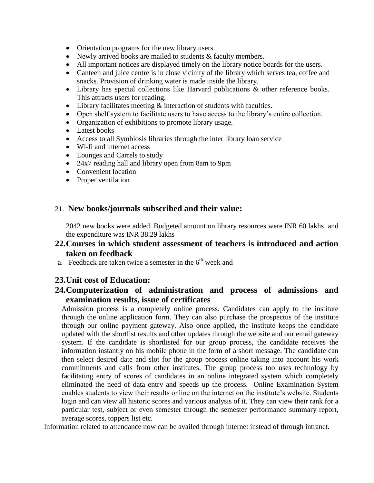- Orientation programs for the new library users.
- Newly arrived books are mailed to students & faculty members.
- All important notices are displayed timely on the library notice boards for the users.
- Canteen and juice centre is in close vicinity of the library which serves tea, coffee and snacks. Provision of drinking water is made inside the library.
- Library has special collections like Harvard publications & other reference books. This attracts users for reading.
- $\bullet$  Library facilitates meeting  $\&$  interaction of students with faculties.
- Open shelf system to facilitate users to have access to the library"s entire collection.
- Organization of exhibitions to promote library usage.
- Latest books
- Access to all Symbiosis libraries through the inter library loan service
- Wi-fi and internet access
- Lounges and Carrels to study
- 24x7 reading hall and library open from 8am to 9pm
- Convenient location
- Proper ventilation

#### 21. **New books/journals subscribed and their value:**

2042 new books were added. Budgeted amount on library resources were INR 60 lakhs and the expenditure was INR 38.29 lakhs

## **22.Courses in which student assessment of teachers is introduced and action taken on feedback**

a. Feedback are taken twice a semester in the  $6<sup>th</sup>$  week and

### **23.Unit cost of Education:**

### **24.Computerization of administration and process of admissions and examination results, issue of certificates**

Admission process is a completely online process. Candidates can apply to the institute through the online application form. They can also purchase the prospectus of the institute through our online payment gateway. Also once applied, the institute keeps the candidate updated with the shortlist results and other updates through the website and our email gateway system. If the candidate is shortlisted for our group process, the candidate receives the information instantly on his mobile phone in the form of a short message. The candidate can then select desired date and slot for the group process online taking into account his work commitments and calls from other institutes. The group process too uses technology by facilitating entry of scores of candidates in an online integrated system which completely eliminated the need of data entry and speeds up the process. Online Examination System enables students to view their results online on the internet on the institute"s website. Students login and can view all historic scores and various analysis of it. They can view their rank for a particular test, subject or even semester through the semester performance summary report, average scores, toppers list etc.

Information related to attendance now can be availed through internet instead of through intranet.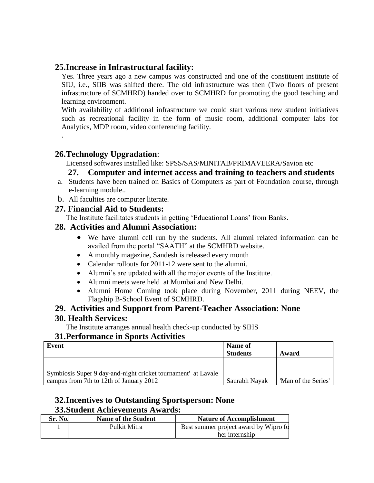### **25.Increase in Infrastructural facility:**

Yes. Three years ago a new campus was constructed and one of the constituent institute of SIU, i.e., SIIB was shifted there. The old infrastructure was then (Two floors of present infrastructure of SCMHRD) handed over to SCMHRD for promoting the good teaching and learning environment.

With availability of additional infrastructure we could start various new student initiatives such as recreational facility in the form of music room, additional computer labs for Analytics, MDP room, video conferencing facility.

## **26.Technology Upgradation**:

.

Licensed softwares installed like: SPSS/SAS/MINITAB/PRIMAVEERA/Savion etc

## **27. Computer and internet access and training to teachers and students**

- a. Students have been trained on Basics of Computers as part of Foundation course, through e-learning module..
- b. All faculties are computer literate.

### **27. Financial Aid to Students:**

The Institute facilitates students in getting "Educational Loans" from Banks.

## **28. Activities and Alumni Association:**

- We have alumni cell run by the students. All alumni related information can be availed from the portal "SAATH" at the SCMHRD website.
- A monthly magazine, Sandesh is released every month
- Calendar rollouts for 2011-12 were sent to the alumni.
- Alumni's are updated with all the major events of the Institute.
- Alumni meets were held at Mumbai and New Delhi.
- Alumni Home Coming took place during November, 2011 during NEEV, the Flagship B-School Event of SCMHRD.

### **29. Activities and Support from Parent-Teacher Association: None**

### **30. Health Services:**

The Institute arranges annual health check-up conducted by SIHS

### **31.Performance in Sports Activities**

| Event                                                                                                    | Name of<br><b>Students</b> | Award               |
|----------------------------------------------------------------------------------------------------------|----------------------------|---------------------|
| Symbiosis Super 9 day-and-night cricket tournament' at Lavale<br>campus from 7th to 12th of January 2012 | Saurabh Nayak              | 'Man of the Series' |

## **32.Incentives to Outstanding Sportsperson: None 33.Student Achievements Awards:**

| Sr. No. | <b>Name of the Student</b> | <b>Nature of Accomplishment</b>       |
|---------|----------------------------|---------------------------------------|
|         | Pulkit Mitra               | Best summer project award by Wipro fo |
|         |                            | her internship                        |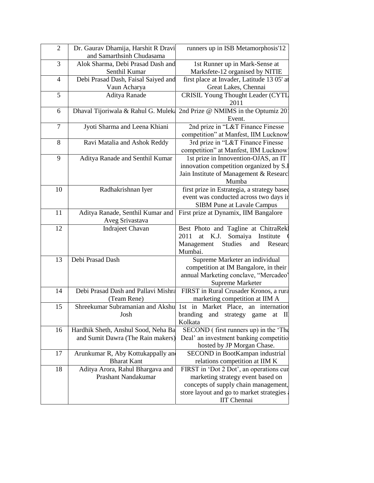| $\overline{2}$ | Dr. Gaurav Dhamija, Harshit R Dravi | runners up in ISB Metamorphosis'12                      |
|----------------|-------------------------------------|---------------------------------------------------------|
|                | and Samarthsinh Chudasama           |                                                         |
| 3              | Alok Sharma, Debi Prasad Dash and   | 1st Runner up in Mark-Sense at                          |
|                | Senthil Kumar                       | Marksfete-12 organised by NITIE                         |
| $\overline{4}$ | Debi Prasad Dash, Faisal Saiyed and | first place at Invader, Latitude 13 05' at              |
|                | Vaun Acharya                        | Great Lakes, Chennai                                    |
| 5              | Aditya Ranade                       | <b>CRISIL Young Thought Leader (CYTL</b>                |
|                |                                     | 2011                                                    |
| 6              | Dhaval Tijoriwala & Rahul G. Muleka | 2nd Prize @ NMIMS in the Optumiz 20                     |
|                |                                     | Event.                                                  |
| $\tau$         | Jyoti Sharma and Leena Khiani       | 2nd prize in "L&T Finance Finesse                       |
|                |                                     | competition" at Manfest, IIM Lucknow                    |
| 8              | Ravi Matalia and Ashok Reddy        | 3rd prize in "L&T Finance Finesse                       |
|                |                                     | competition" at Manfest, IIM Lucknow                    |
| 9              | Aditya Ranade and Senthil Kumar     | 1st prize in Innovention-OJAS, an IT                    |
|                |                                     | innovation competition organized by S.I                 |
|                |                                     | Jain Institute of Management & Researc<br>Mumba         |
| 10             |                                     | first prize in Estrategia, a strategy based             |
|                | Radhakrishnan Iyer                  | event was conducted across two days in                  |
|                |                                     | <b>SIBM Pune at Lavale Campus</b>                       |
| 11             | Aditya Ranade, Senthil Kumar and    | First prize at Dynamix, IIM Bangalore                   |
|                | Aveg Srivastava                     |                                                         |
| 12             | Indrajeet Chavan                    | Best Photo and Tagline at ChitraRekl                    |
|                |                                     | Somaiya Institute<br>at K.J.<br>2011                    |
|                |                                     | Management<br>Studies and<br>Researc                    |
|                |                                     | Mumbai.                                                 |
| 13             | Debi Prasad Dash                    | Supreme Marketer an individual                          |
|                |                                     | competition at IM Bangalore, in their                   |
|                |                                     | annual Marketing conclave, "Mercadeo'                   |
|                |                                     | Supreme Marketer                                        |
| 14             | Debi Prasad Dash and Pallavi Mishra | FIRST in Rural Crusader Kronos, a rura                  |
|                | (Team Rene)                         | marketing competition at IIM A                          |
| 15             | Shreekumar Subramanian and Akshu    | 1st in Market Place, an internation                     |
|                | Josh                                | branding and strategy game at II                        |
|                |                                     | Kolkata                                                 |
| 16             | Hardhik Sheth, Anshul Sood, Neha Ba | SECOND (first runners up) in the The                    |
|                | and Sumit Dawra (The Rain makers)   | Deal' an investment banking competitio                  |
|                |                                     | hosted by JP Morgan Chase.                              |
| 17             | Arunkumar R, Aby Kottukappally and  | SECOND in BootKampan industrial                         |
|                | <b>Bharat Kant</b>                  | relations competition at IIM K                          |
| 18             | Aditya Arora, Rahul Bhargava and    | FIRST in 'Dot 2 Dot', an operations cur                 |
|                | Prashant Nandakumar                 | marketing strategy event based on                       |
|                |                                     | concepts of supply chain management,                    |
|                |                                     | store layout and go to market strategies<br>IIT Chennai |
|                |                                     |                                                         |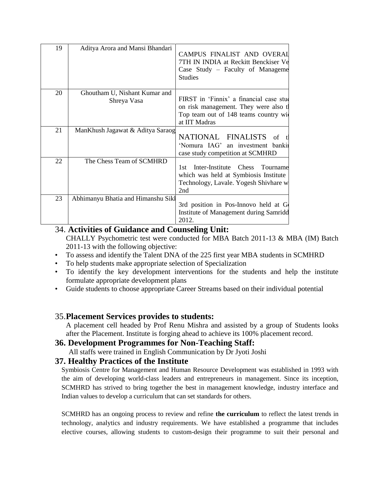| 19 | Aditya Arora and Mansi Bhandari              | CAMPUS FINALIST AND OVERAI<br>7TH IN INDIA at Reckitt Benckiser Ve<br>Case Study – Faculty of Manageme<br><b>Studies</b>                     |
|----|----------------------------------------------|----------------------------------------------------------------------------------------------------------------------------------------------|
| 20 | Ghoutham U, Nishant Kumar and<br>Shreya Vasa | FIRST in 'Finnix' a financial case stud<br>on risk management. They were also the<br>Top team out of 148 teams country will<br>at IIT Madras |
| 21 | ManKhush Jagawat & Aditya Saraog             | NATIONAL FINALISTS<br>of<br>'Nomura IAG' an investment banki<br>case study competition at SCMHRD                                             |
| 22 | The Chess Team of SCMHRD                     | Inter-Institute Chess<br>Tourname<br>1st -<br>which was held at Symbiosis Institute<br>Technology, Lavale. Yogesh Shivhare w<br>2nd          |
| 23 | Abhimanyu Bhatia and Himanshu Sikl           | 3rd position in Pos-Innovo held at G<br>Institute of Management during Samridd<br>2012.                                                      |

### 34. **Activities of Guidance and Counseling Unit:**

CHALLY Psychometric test were conducted for MBA Batch 2011-13 & MBA (IM) Batch 2011-13 with the following objective:

- To assess and identify the Talent DNA of the 225 first year MBA students in SCMHRD
- To help students make appropriate selection of Specialization
- To identify the key development interventions for the students and help the institute formulate appropriate development plans
- Guide students to choose appropriate Career Streams based on their individual potential

## 35.**Placement Services provides to students:**

A placement cell headed by Prof Renu Mishra and assisted by a group of Students looks after the Placement. Institute is forging ahead to achieve its 100% placement record.

### **36. Development Programmes for Non-Teaching Staff:**

All staffs were trained in English Communication by Dr Jyoti Joshi

### **37. Healthy Practices of the Institute**

Symbiosis Centre for Management and Human Resource Development was established in 1993 with the aim of developing world-class leaders and entrepreneurs in management. Since its inception, SCMHRD has strived to bring together the best in management knowledge, industry interface and Indian values to develop a curriculum that can set standards for others.

SCMHRD has an ongoing process to review and refine **the curriculum** to reflect the latest trends in technology, analytics and industry requirements. We have established a programme that includes elective courses, allowing students to custom-design their programme to suit their personal and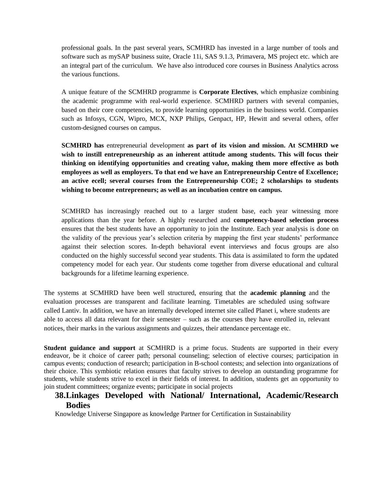professional goals. In the past several years, SCMHRD has invested in a large number of tools and software such as mySAP business suite, Oracle 11i, SAS 9.1.3, Primavera, MS project etc. which are an integral part of the curriculum. We have also introduced core courses in Business Analytics across the various functions.

A unique feature of the SCMHRD programme is **Corporate Electives**, which emphasize combining the academic programme with real-world experience. SCMHRD partners with several companies, based on their core competencies, to provide learning opportunities in the business world. Companies such as Infosys, CGN, Wipro, MCX, NXP Philips, Genpact, HP, Hewitt and several others, offer custom-designed courses on campus.

**SCMHRD has** entrepreneurial development **as part of its vision and mission. At SCMHRD we wish to instill entrepreneurship as an inherent attitude among students. This will focus their thinking on identifying opportunities and creating value, making them more effective as both employees as well as employers. To that end we have an Entrepreneurship Centre of Excellence; an active ecell; several courses from the Entrepreneurship COE; 2 scholarships to students wishing to become entrepreneurs; as well as an incubation centre on campus.** 

SCMHRD has increasingly reached out to a larger student base, each year witnessing more applications than the year before. A highly researched and **competency-based selection process** ensures that the best students have an opportunity to join the Institute. Each year analysis is done on the validity of the previous year"s selection criteria by mapping the first year students" performance against their selection scores. In-depth behavioral event interviews and focus groups are also conducted on the highly successful second year students. This data is assimilated to form the updated competency model for each year. Our students come together from diverse educational and cultural backgrounds for a lifetime learning experience.

The systems at SCMHRD have been well structured, ensuring that the **academic planning** and the evaluation processes are transparent and facilitate learning. Timetables are scheduled using software called Lantiv. In addition, we have an internally developed internet site called Planet i, where students are able to access all data relevant for their semester – such as the courses they have enrolled in, relevant notices, their marks in the various assignments and quizzes, their attendance percentage etc.

**Student guidance and support** at SCMHRD is a prime focus. Students are supported in their every endeavor, be it choice of career path; personal counseling; selection of elective courses; participation in campus events; conduction of research; participation in B-school contests; and selection into organizations of their choice. This symbiotic relation ensures that faculty strives to develop an outstanding programme for students, while students strive to excel in their fields of interest. In addition, students get an opportunity to join student committees; organize events; participate in social projects

### **38.Linkages Developed with National/ International, Academic/Research Bodies**

Knowledge Universe Singapore as knowledge Partner for Certification in Sustainability